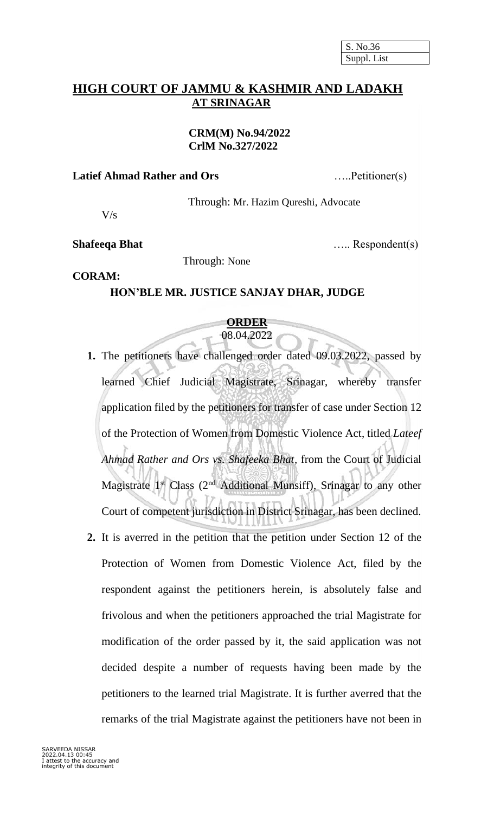## **HIGH COURT OF JAMMU & KASHMIR AND LADAKH AT SRINAGAR**

#### **CRM(M) No.94/2022 CrlM No.327/2022**

#### **Latief Ahmad Rather and Ors** …..Petitioner(s)

Through: Mr. Hazim Qureshi, Advocate

 $V/s$ 

**Shafeeqa Bhat** ….. Respondent(s)

#### Through: None

# **CORAM:**

### **HON'BLE MR. JUSTICE SANJAY DHAR, JUDGE**

#### **ORDER** 08.04.2022

- **1.** The petitioners have challenged order dated 09.03.2022, passed by learned Chief Judicial Magistrate, Srinagar, whereby transfer application filed by the petitioners for transfer of case under Section 12 of the Protection of Women from Domestic Violence Act, titled *Lateef Ahmad Rather and Ors vs. Shafeeka Bhat,* from the Court of Judicial Magistrate  $1<sup>st</sup>$  Class ( $2<sup>nd</sup>$  Additional Munsiff), Srinagar to any other Court of competent jurisdiction in District Srinagar, has been declined.
- **2.** It is averred in the petition that the petition under Section 12 of the Protection of Women from Domestic Violence Act, filed by the respondent against the petitioners herein, is absolutely false and frivolous and when the petitioners approached the trial Magistrate for modification of the order passed by it, the said application was not decided despite a number of requests having been made by the petitioners to the learned trial Magistrate. It is further averred that the remarks of the trial Magistrate against the petitioners have not been in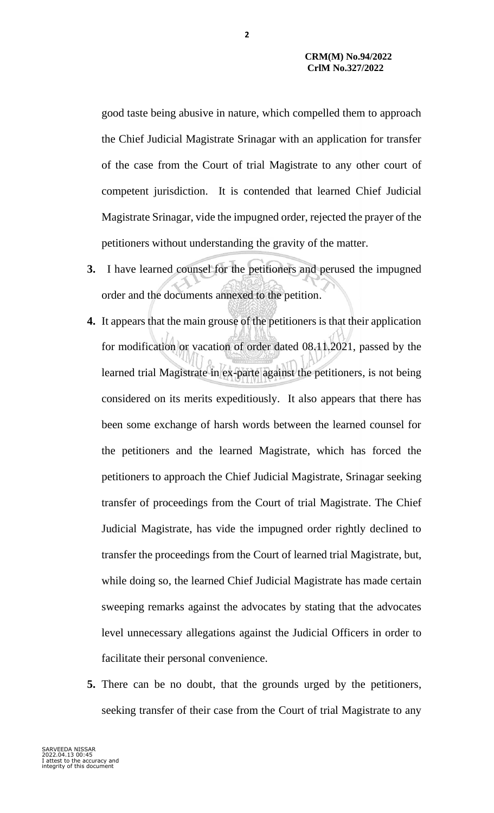good taste being abusive in nature, which compelled them to approach the Chief Judicial Magistrate Srinagar with an application for transfer of the case from the Court of trial Magistrate to any other court of competent jurisdiction. It is contended that learned Chief Judicial Magistrate Srinagar, vide the impugned order, rejected the prayer of the petitioners without understanding the gravity of the matter.

- **3.** I have learned counsel for the petitioners and perused the impugned order and the documents annexed to the petition.
- **4.** It appears that the main grouse of the petitioners is that their application for modification or vacation of order dated 08.11.2021, passed by the learned trial Magistrate in ex-parte against the petitioners, is not being considered on its merits expeditiously. It also appears that there has been some exchange of harsh words between the learned counsel for the petitioners and the learned Magistrate, which has forced the petitioners to approach the Chief Judicial Magistrate, Srinagar seeking transfer of proceedings from the Court of trial Magistrate. The Chief Judicial Magistrate, has vide the impugned order rightly declined to transfer the proceedings from the Court of learned trial Magistrate, but, while doing so, the learned Chief Judicial Magistrate has made certain sweeping remarks against the advocates by stating that the advocates level unnecessary allegations against the Judicial Officers in order to facilitate their personal convenience.
- **5.** There can be no doubt, that the grounds urged by the petitioners, seeking transfer of their case from the Court of trial Magistrate to any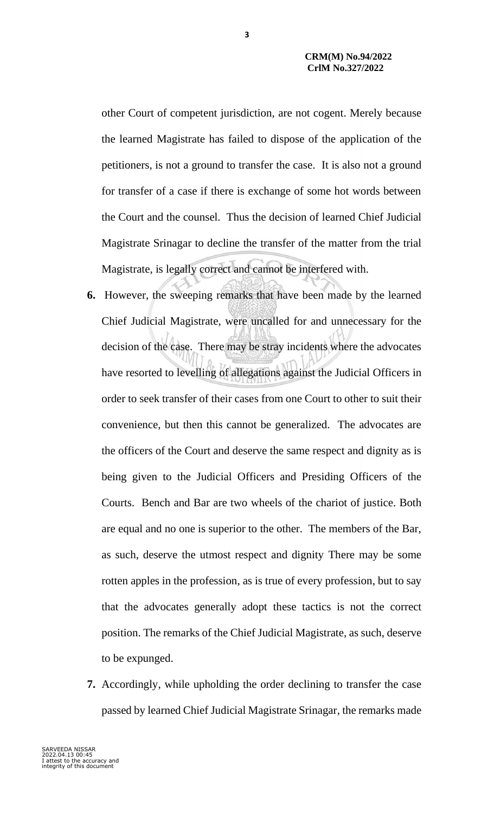other Court of competent jurisdiction, are not cogent. Merely because the learned Magistrate has failed to dispose of the application of the petitioners, is not a ground to transfer the case. It is also not a ground for transfer of a case if there is exchange of some hot words between the Court and the counsel. Thus the decision of learned Chief Judicial Magistrate Srinagar to decline the transfer of the matter from the trial Magistrate, is legally correct and cannot be interfered with.

- **6.** However, the sweeping remarks that have been made by the learned Chief Judicial Magistrate, were uncalled for and unnecessary for the decision of the case. There may be stray incidents where the advocates have resorted to levelling of allegations against the Judicial Officers in order to seek transfer of their cases from one Court to other to suit their convenience, but then this cannot be generalized. The advocates are the officers of the Court and deserve the same respect and dignity as is being given to the Judicial Officers and Presiding Officers of the Courts. Bench and Bar are two wheels of the chariot of justice. Both are equal and no one is superior to the other. The members of the Bar, as such, deserve the utmost respect and dignity There may be some rotten apples in the profession, as is true of every profession, but to say that the advocates generally adopt these tactics is not the correct position. The remarks of the Chief Judicial Magistrate, as such, deserve to be expunged.
- **7.** Accordingly, while upholding the order declining to transfer the case passed by learned Chief Judicial Magistrate Srinagar, the remarks made